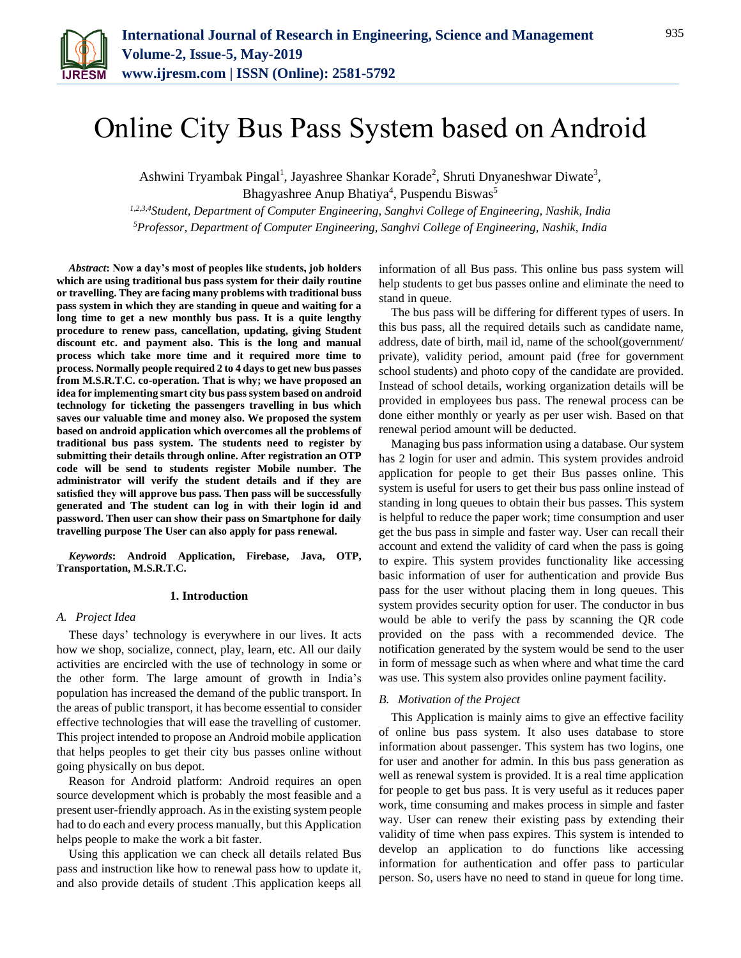

# Online City Bus Pass System based on Android

Ashwini Tryambak Pingal<sup>1</sup>, Jayashree Shankar Korade<sup>2</sup>, Shruti Dnyaneshwar Diwate<sup>3</sup>, Bhagyashree Anup Bhatiya<sup>4</sup>, Puspendu Biswas<sup>5</sup> *1,2,3,4Student, Department of Computer Engineering, Sanghvi College of Engineering, Nashik, India 5Professor, Department of Computer Engineering, Sanghvi College of Engineering, Nashik, India*

*Abstract***: Now a day's most of peoples like students, job holders which are using traditional bus pass system for their daily routine or travelling. They are facing many problems with traditional buss pass system in which they are standing in queue and waiting for a long time to get a new monthly bus pass. It is a quite lengthy procedure to renew pass, cancellation, updating, giving Student discount etc. and payment also. This is the long and manual process which take more time and it required more time to process. Normally people required 2 to 4 days to get new bus passes from M.S.R.T.C. co-operation. That is why; we have proposed an idea for implementing smart city bus pass system based on android technology for ticketing the passengers travelling in bus which saves our valuable time and money also. We proposed the system based on android application which overcomes all the problems of traditional bus pass system. The students need to register by submitting their details through online. After registration an OTP code will be send to students register Mobile number. The administrator will verify the student details and if they are satisfied they will approve bus pass. Then pass will be successfully generated and The student can log in with their login id and password. Then user can show their pass on Smartphone for daily travelling purpose The User can also apply for pass renewal.**

*Keywords***: Android Application, Firebase, Java, OTP, Transportation, M.S.R.T.C.**

# **1. Introduction**

# *A. Project Idea*

These days' technology is everywhere in our lives. It acts how we shop, socialize, connect, play, learn, etc. All our daily activities are encircled with the use of technology in some or the other form. The large amount of growth in India's population has increased the demand of the public transport. In the areas of public transport, it has become essential to consider effective technologies that will ease the travelling of customer. This project intended to propose an Android mobile application that helps peoples to get their city bus passes online without going physically on bus depot.

Reason for Android platform: Android requires an open source development which is probably the most feasible and a present user-friendly approach. As in the existing system people had to do each and every process manually, but this Application helps people to make the work a bit faster.

Using this application we can check all details related Bus pass and instruction like how to renewal pass how to update it, and also provide details of student .This application keeps all information of all Bus pass. This online bus pass system will help students to get bus passes online and eliminate the need to stand in queue.

The bus pass will be differing for different types of users. In this bus pass, all the required details such as candidate name, address, date of birth, mail id, name of the school(government/ private), validity period, amount paid (free for government school students) and photo copy of the candidate are provided. Instead of school details, working organization details will be provided in employees bus pass. The renewal process can be done either monthly or yearly as per user wish. Based on that renewal period amount will be deducted.

Managing bus pass information using a database. Our system has 2 login for user and admin. This system provides android application for people to get their Bus passes online. This system is useful for users to get their bus pass online instead of standing in long queues to obtain their bus passes. This system is helpful to reduce the paper work; time consumption and user get the bus pass in simple and faster way. User can recall their account and extend the validity of card when the pass is going to expire. This system provides functionality like accessing basic information of user for authentication and provide Bus pass for the user without placing them in long queues. This system provides security option for user. The conductor in bus would be able to verify the pass by scanning the QR code provided on the pass with a recommended device. The notification generated by the system would be send to the user in form of message such as when where and what time the card was use. This system also provides online payment facility.

# *B. Motivation of the Project*

This Application is mainly aims to give an effective facility of online bus pass system. It also uses database to store information about passenger. This system has two logins, one for user and another for admin. In this bus pass generation as well as renewal system is provided. It is a real time application for people to get bus pass. It is very useful as it reduces paper work, time consuming and makes process in simple and faster way. User can renew their existing pass by extending their validity of time when pass expires. This system is intended to develop an application to do functions like accessing information for authentication and offer pass to particular person. So, users have no need to stand in queue for long time.